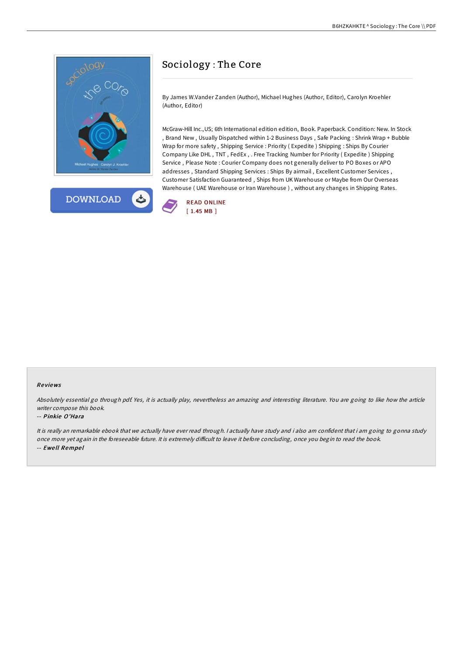



# Sociology : The Core

By James W.Vander Zanden (Author), Michael Hughes (Author, Editor), Carolyn Kroehler (Author, Editor)

McGraw-Hill Inc.,US; 6th International edition edition, Book. Paperback. Condition: New. In Stock , Brand New , Usually Dispatched within 1-2 Business Days , Safe Packing : Shrink Wrap + Bubble Wrap for more safety , Shipping Service : Priority ( Expedite ) Shipping : Ships By Courier Company Like DHL , TNT , FedEx , . Free Tracking Number for Priority ( Expedite ) Shipping Service , Please Note : Courier Company does not generally deliver to PO Boxes or APO addresses , Standard Shipping Services : Ships By airmail , Excellent Customer Services , Customer Satisfaction Guaranteed , Ships from UK Warehouse or Maybe from Our Overseas Warehouse ( UAE Warehouse or Iran Warehouse ) , without any changes in Shipping Rates.



#### Re views

Absolutely essential go through pdf. Yes, it is actually play, nevertheless an amazing and interesting literature. You are going to like how the article writer compose this book.

#### -- Pinkie O'Hara

It is really an remarkable ebook that we actually have ever read through. <sup>I</sup> actually have study and i also am confident that i am going to gonna study once more yet again in the foreseeable future. It is extremely difficult to leave it before concluding, once you begin to read the book. -- Ewe ll Rempe l